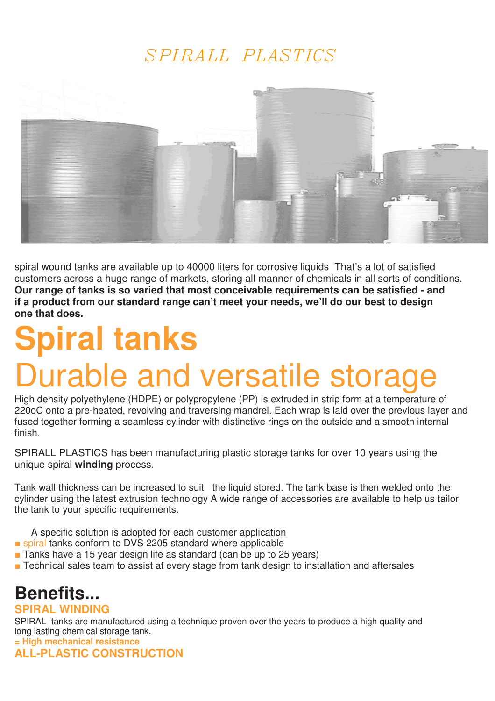### SPIRALL PLASTICS



spiral wound tanks are available up to 40000 liters for corrosive liquids That's a lot of satisfied customers across a huge range of markets, storing all manner of chemicals in all sorts of conditions. **Our range of tanks is so varied that most conceivable requirements can be satisfied - and if a product from our standard range can't meet your needs, we'll do our best to design one that does.** 

# **Spiral tanks**  Durable and versatile storage

High density polyethylene (HDPE) or polypropylene (PP) is extruded in strip form at a temperature of 220oC onto a pre-heated, revolving and traversing mandrel. Each wrap is laid over the previous layer and fused together forming a seamless cylinder with distinctive rings on the outside and a smooth internal finish.

SPIRALL PLASTICS has been manufacturing plastic storage tanks for over 10 years using the unique spiral **winding** process.

Tank wall thickness can be increased to suit the liquid stored. The tank base is then welded onto the cylinder using the latest extrusion technology A wide range of accessories are available to help us tailor the tank to your specific requirements.

A specific solution is adopted for each customer application

- spiral tanks conform to DVS 2205 standard where applicable
- Tanks have a 15 year design life as standard (can be up to 25 years)
- Technical sales team to assist at every stage from tank design to installation and aftersales

# **Benefits...**

#### **SPIRAL WINDING**

SPIRAL tanks are manufactured using a technique proven over the years to produce a high quality and long lasting chemical storage tank. **= High mechanical resistance** 

**ALL-PLASTIC CONSTRUCTION**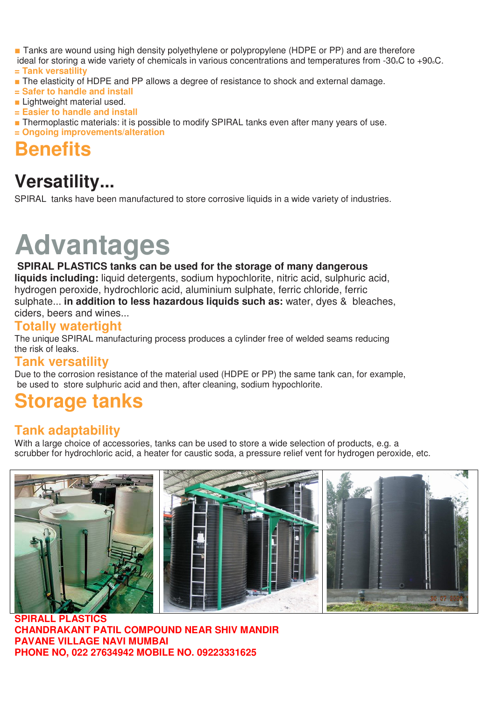■ Tanks are wound using high density polyethylene or polypropylene (HDPE or PP) and are therefore

- ideal for storing a wide variety of chemicals in various concentrations and temperatures from -30oC to +90oC. **= Tank versatility**
- The elasticity of HDPE and PP allows a degree of resistance to shock and external damage.
- **= Safer to handle and install**
- Lightweight material used.
- **= Easier to handle and install**
- Thermoplastic materials: it is possible to modify SPIRAL tanks even after many years of use. **= Ongoing improvements/alteration**

## **Benefits**

### **Versatility...**

SPIRAL tanks have been manufactured to store corrosive liquids in a wide variety of industries.

# **Advantages**

#### **SPIRAL PLASTICS tanks can be used for the storage of many dangerous liquids including:** liquid detergents, sodium hypochlorite, nitric acid, sulphuric acid, hydrogen peroxide, hydrochloric acid, aluminium sulphate, ferric chloride, ferric sulphate... **in addition to less hazardous liquids such as:** water, dyes & bleaches, ciders, beers and wines...

**Totally watertight** 

The unique SPIRAL manufacturing process produces a cylinder free of welded seams reducing the risk of leaks.

### **Tank versatility**

Due to the corrosion resistance of the material used (HDPE or PP) the same tank can, for example, be used to store sulphuric acid and then, after cleaning, sodium hypochlorite.

## **Storage tanks**

### **Tank adaptability**

With a large choice of accessories, tanks can be used to store a wide selection of products, e.g. a scrubber for hydrochloric acid, a heater for caustic soda, a pressure relief vent for hydrogen peroxide, etc.



**SPIRALL PLASTICS CHANDRAKANT PATIL COMPOUND NEAR SHIV MANDIR PAVANE VILLAGE NAVI MUMBAI PHONE NO, 022 27634942 MOBILE NO. 09223331625**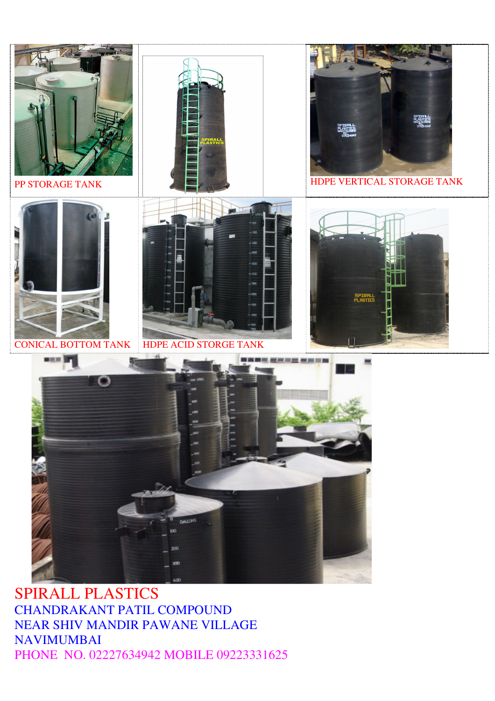

### SPIRALL PLASTICS CHANDRAKANT PATIL COMPOUND NEAR SHIV MANDIR PAWANE VILLAGE NAVIMUMBAI PHONE NO. 02227634942 MOBILE 09223331625